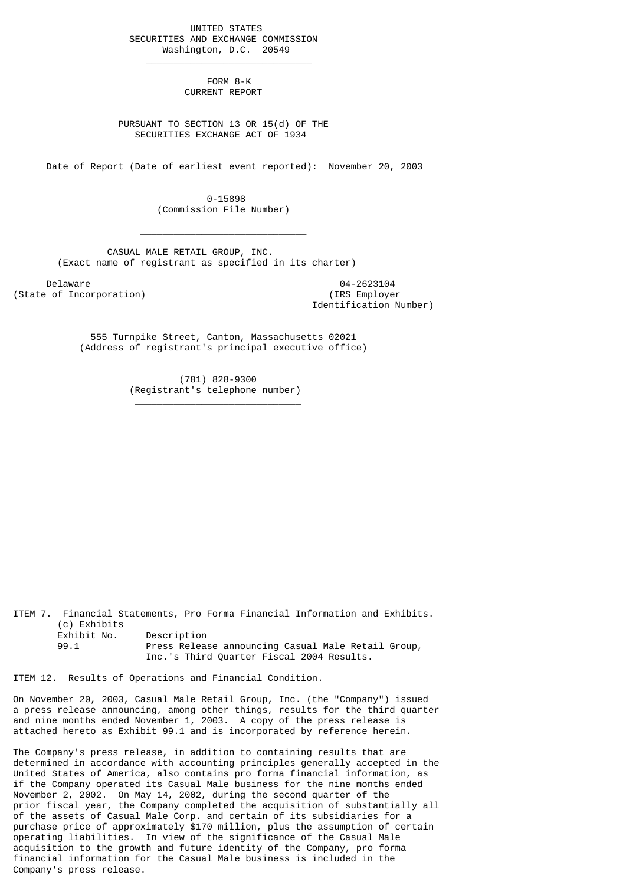UNITED STATES SECURITIES AND EXCHANGE COMMISSION Washington, D.C. 20549

 $\frac{1}{2}$  , and the set of the set of the set of the set of the set of the set of the set of the set of the set of the set of the set of the set of the set of the set of the set of the set of the set of the set of the set

 $\mathcal{L}_\text{max}$  and  $\mathcal{L}_\text{max}$  and  $\mathcal{L}_\text{max}$  and  $\mathcal{L}_\text{max}$  and  $\mathcal{L}_\text{max}$ 

\_\_\_\_\_\_\_\_\_\_\_\_\_\_\_\_\_\_\_\_\_\_\_\_\_\_\_\_\_\_

 FORM 8-K CURRENT REPORT

 PURSUANT TO SECTION 13 OR 15(d) OF THE SECURITIES EXCHANGE ACT OF 1934

Date of Report (Date of earliest event reported): November 20, 2003

 0-15898 (Commission File Number)

 CASUAL MALE RETAIL GROUP, INC. (Exact name of registrant as specified in its charter)

Delaware 04-2623104<br>
Delaware 04-2623104<br>
Of Incorporation (State of Incorporation)

Identification Number)

 555 Turnpike Street, Canton, Massachusetts 02021 (Address of registrant's principal executive office)

> (781) 828-9300 (Registrant's telephone number)

ITEM 7. Financial Statements, Pro Forma Financial Information and Exhibits. (c) Exhibits Exhibit No. Description 99.1 Press Release announcing Casual Male Retail Group, Inc.'s Third Quarter Fiscal 2004 Results.

ITEM 12. Results of Operations and Financial Condition.

On November 20, 2003, Casual Male Retail Group, Inc. (the "Company") issued a press release announcing, among other things, results for the third quarter and nine months ended November 1, 2003. A copy of the press release is attached hereto as Exhibit 99.1 and is incorporated by reference herein.

The Company's press release, in addition to containing results that are determined in accordance with accounting principles generally accepted in the United States of America, also contains pro forma financial information, as if the Company operated its Casual Male business for the nine months ended November 2, 2002. On May 14, 2002, during the second quarter of the prior fiscal year, the Company completed the acquisition of substantially all of the assets of Casual Male Corp. and certain of its subsidiaries for a purchase price of approximately \$170 million, plus the assumption of certain operating liabilities. In view of the significance of the Casual Male acquisition to the growth and future identity of the Company, pro forma financial information for the Casual Male business is included in the Company's press release.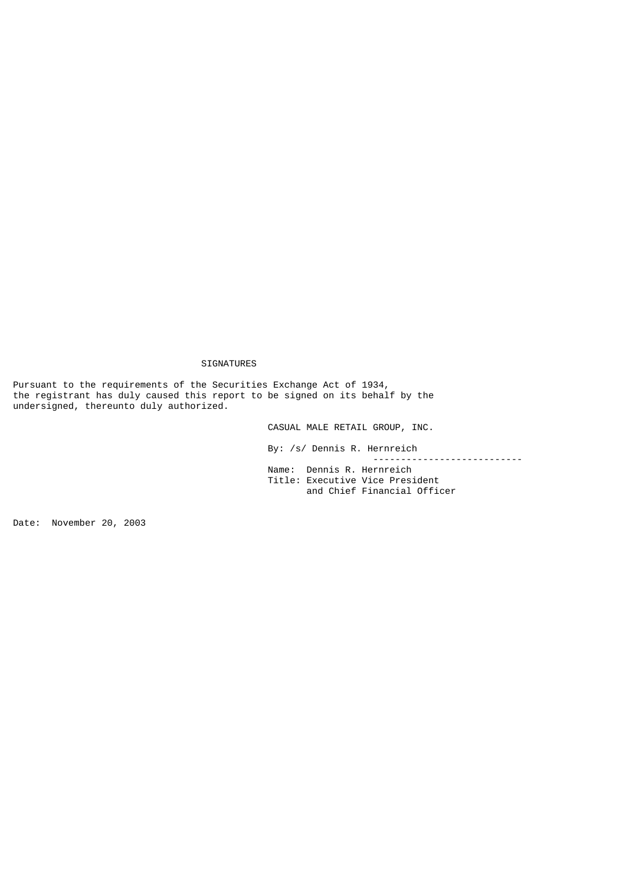## SIGNATURES

Pursuant to the requirements of the Securities Exchange Act of 1934, the registrant has duly caused this report to be signed on its behalf by the undersigned, thereunto duly authorized.

CASUAL MALE RETAIL GROUP, INC.

By: /s/ Dennis R. Hernreich

 --------------------------- Name: Dennis R. Hernreich Title: Executive Vice President and Chief Financial Officer

Date: November 20, 2003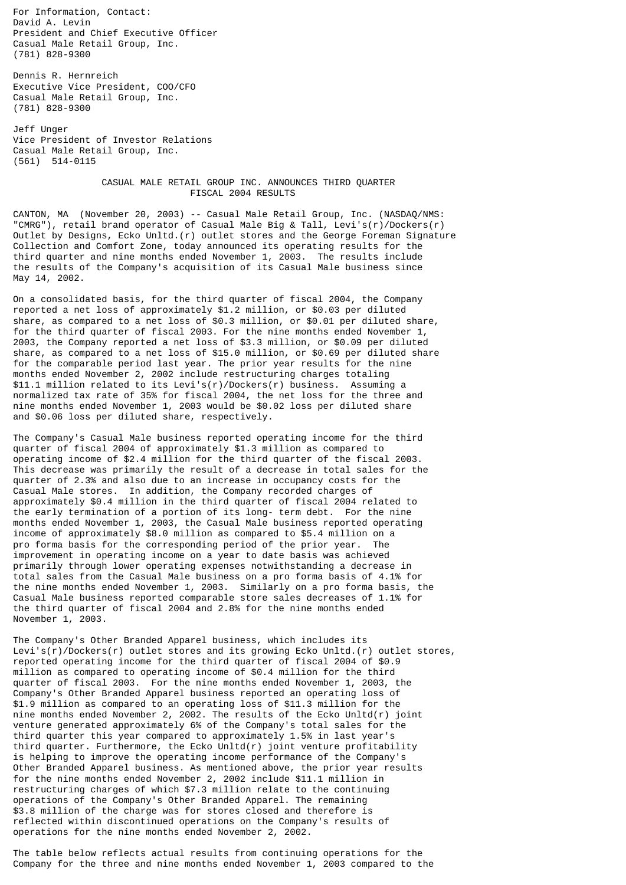For Information, Contact: David A. Levin President and Chief Executive Officer Casual Male Retail Group, Inc. (781) 828-9300

Dennis R. Hernreich Executive Vice President, COO/CFO Casual Male Retail Group, Inc. (781) 828-9300

Jeff Unger Vice President of Investor Relations Casual Male Retail Group, Inc. (561) 514-0115

> CASUAL MALE RETAIL GROUP INC. ANNOUNCES THIRD QUARTER FISCAL 2004 RESULTS

CANTON, MA (November 20, 2003) -- Casual Male Retail Group, Inc. (NASDAQ/NMS: "CMRG"), retail brand operator of Casual Male Big & Tall, Levi's(r)/Dockers(r) Outlet by Designs, Ecko Unltd.(r) outlet stores and the George Foreman Signature Collection and Comfort Zone, today announced its operating results for the third quarter and nine months ended November 1, 2003. The results include the results of the Company's acquisition of its Casual Male business since May 14, 2002.

On a consolidated basis, for the third quarter of fiscal 2004, the Company reported a net loss of approximately \$1.2 million, or \$0.03 per diluted share, as compared to a net loss of \$0.3 million, or \$0.01 per diluted share, for the third quarter of fiscal 2003. For the nine months ended November 1, 2003, the Company reported a net loss of \$3.3 million, or \$0.09 per diluted share, as compared to a net loss of \$15.0 million, or \$0.69 per diluted share for the comparable period last year. The prior year results for the nine months ended November 2, 2002 include restructuring charges totaling \$11.1 million related to its Levi's(r)/Dockers(r) business. Assuming a normalized tax rate of 35% for fiscal 2004, the net loss for the three and nine months ended November 1, 2003 would be \$0.02 loss per diluted share and \$0.06 loss per diluted share, respectively.

The Company's Casual Male business reported operating income for the third quarter of fiscal 2004 of approximately \$1.3 million as compared to operating income of \$2.4 million for the third quarter of the fiscal 2003. This decrease was primarily the result of a decrease in total sales for the quarter of 2.3% and also due to an increase in occupancy costs for the Casual Male stores. In addition, the Company recorded charges of approximately \$0.4 million in the third quarter of fiscal 2004 related to the early termination of a portion of its long- term debt. For the nine months ended November 1, 2003, the Casual Male business reported operating income of approximately \$8.0 million as compared to \$5.4 million on a pro forma basis for the corresponding period of the prior year. The improvement in operating income on a year to date basis was achieved primarily through lower operating expenses notwithstanding a decrease in total sales from the Casual Male business on a pro forma basis of 4.1% for the nine months ended November 1, 2003. Similarly on a pro forma basis, the Casual Male business reported comparable store sales decreases of 1.1% for the third quarter of fiscal 2004 and 2.8% for the nine months ended November 1, 2003.

The Company's Other Branded Apparel business, which includes its Levi's(r)/Dockers(r) outlet stores and its growing Ecko Unltd.(r) outlet stores, reported operating income for the third quarter of fiscal 2004 of \$0.9 million as compared to operating income of \$0.4 million for the third quarter of fiscal 2003. For the nine months ended November 1, 2003, the Company's Other Branded Apparel business reported an operating loss of \$1.9 million as compared to an operating loss of \$11.3 million for the nine months ended November 2, 2002. The results of the Ecko Unltd(r) joint venture generated approximately 6% of the Company's total sales for the third quarter this year compared to approximately 1.5% in last year's third quarter. Furthermore, the Ecko Unltd(r) joint venture profitability is helping to improve the operating income performance of the Company's Other Branded Apparel business. As mentioned above, the prior year results for the nine months ended November 2, 2002 include \$11.1 million in restructuring charges of which \$7.3 million relate to the continuing operations of the Company's Other Branded Apparel. The remaining \$3.8 million of the charge was for stores closed and therefore is reflected within discontinued operations on the Company's results of operations for the nine months ended November 2, 2002.

The table below reflects actual results from continuing operations for the Company for the three and nine months ended November 1, 2003 compared to the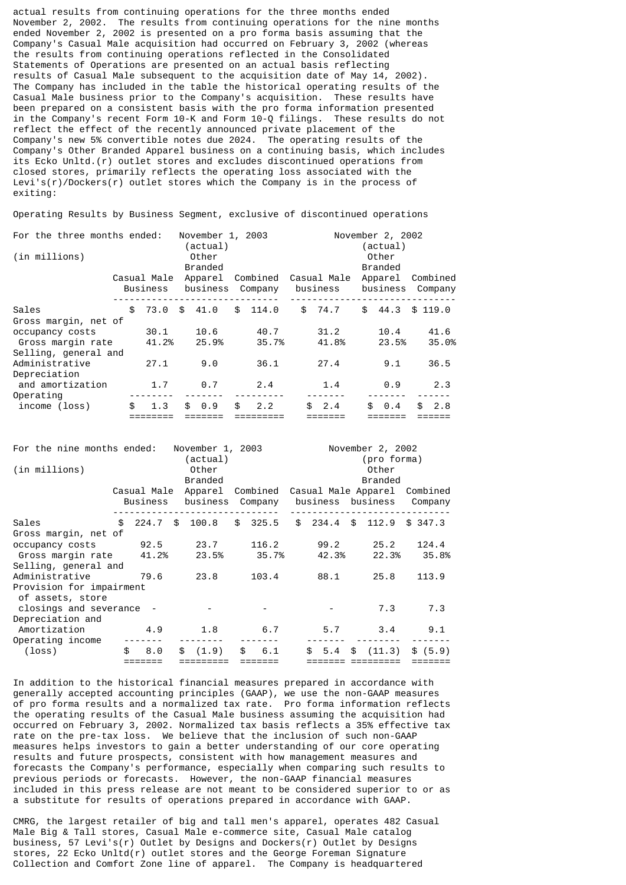actual results from continuing operations for the three months ended November 2, 2002. The results from continuing operations for the nine months ended November 2, 2002 is presented on a pro forma basis assuming that the Company's Casual Male acquisition had occurred on February 3, 2002 (whereas the results from continuing operations reflected in the Consolidated Statements of Operations are presented on an actual basis reflecting results of Casual Male subsequent to the acquisition date of May 14, 2002). The Company has included in the table the historical operating results of the Casual Male business prior to the Company's acquisition. These results have been prepared on a consistent basis with the pro forma information presented in the Company's recent Form 10-K and Form 10-Q filings. These results do not reflect the effect of the recently announced private placement of the Company's new 5% convertible notes due 2024. The operating results of the Company's Other Branded Apparel business on a continuing basis, which includes its Ecko Unltd.(r) outlet stores and excludes discontinued operations from closed stores, primarily reflects the operating loss associated with the Levi's(r)/Dockers(r) outlet stores which the Company is in the process of exiting:

Operating Results by Business Segment, exclusive of discontinued operations

| For the three months ended:<br>(in millions)           |                         |     | November 1, 2003<br>(actual)<br>Other<br><b>Branded</b> |                     |     |                         | November 2, 2002<br>(actual)<br>Other<br>Branded |     |                     |
|--------------------------------------------------------|-------------------------|-----|---------------------------------------------------------|---------------------|-----|-------------------------|--------------------------------------------------|-----|---------------------|
|                                                        | Casual Male<br>Business |     | Apparel<br>business                                     | Combined<br>Company |     | Casual Male<br>business | Apparel<br>business                              |     | Combined<br>Company |
| Sales<br>Gross margin, net of                          | \$<br>73.0              | \$  | 41.0                                                    | \$<br>114.0         | \$  | 74.7                    | \$<br>44.3                                       |     | \$119.0             |
| occupancy costs<br>Gross margin rate                   | 30.1<br>41.2%           |     | 10.6<br>25.9%                                           | 40.7<br>35.7%       |     | 31.2<br>41.8%           | 10.4<br>23.5%                                    |     | 41.6<br>35.0%       |
| Selling, general and<br>Administrative<br>Depreciation | 27.1                    |     | 9.0                                                     | 36.1                |     | 27.4                    | 9.1                                              |     | 36.5                |
| and amortization                                       | 1.7                     |     | 0.7                                                     | 2.4                 |     | 1.4                     | 0.9                                              |     | 2.3                 |
| Operating<br>income (loss)                             | \$<br>1.3               | \$. | 0.9                                                     | \$<br>2.2           | \$. | 2.4                     | \$<br>$\theta$ .4                                | \$. | 2.8                 |

| For the nine months ended: |               |            |               | November 1, 2003<br>(actual) |                                       |  |       | November 2, 2002<br>(pro forma) |          |
|----------------------------|---------------|------------|---------------|------------------------------|---------------------------------------|--|-------|---------------------------------|----------|
| (in millions)              |               |            |               | Other                        |                                       |  |       | Other                           |          |
|                            |               |            |               | <b>Branded</b>               |                                       |  |       | Branded                         |          |
|                            | Casual Male   |            |               | Apparel                      | Combined Casual Male Apparel Combined |  |       |                                 |          |
|                            |               | Business   |               | business                     | Company                               |  |       | business business               | Company  |
|                            |               |            |               |                              |                                       |  |       |                                 |          |
| Sales                      | \$            | $224.7$ \$ |               | 100.8                        | \$325.5                               |  |       | \$ 234.4 \$ 112.9               | \$347.3  |
| Gross margin, net of       |               |            |               |                              |                                       |  |       |                                 |          |
| occupancy costs            |               | 92.5       |               | 23.7                         | 116.2                                 |  | 99.2  | 25.2                            | 124.4    |
| Gross margin rate 41.2%    |               |            |               | 23.5%                        | 35.7%                                 |  | 42.3% | 22.3%                           | 35.8%    |
| Selling, general and       |               |            |               |                              |                                       |  |       |                                 |          |
| Administrative             |               | 79.6       |               | 23.8                         | 103.4                                 |  | 88.1  | 25.8                            | 113.9    |
| Provision for impairment   |               |            |               |                              |                                       |  |       |                                 |          |
| of assets, store           |               |            |               |                              |                                       |  |       |                                 |          |
| closings and severance -   |               |            |               |                              |                                       |  |       | 7.3                             | 7.3      |
| Depreciation and           |               |            |               |                              |                                       |  |       |                                 |          |
| Amortization               |               | 4.9        |               | 1.8                          | 6.7                                   |  | 5.7   | 3.4                             | 9.1      |
| Operating income           |               |            |               |                              |                                       |  |       |                                 |          |
| $(\texttt{loss})$          | $\mathfrak s$ | 8.0        | $\mathfrak s$ | (1.9)                        | $\mathbb{S}$<br>6.1                   |  |       | $$5.4$$ (11.3)                  | \$ (5.9) |
|                            |               |            |               |                              |                                       |  |       |                                 |          |

In addition to the historical financial measures prepared in accordance with generally accepted accounting principles (GAAP), we use the non-GAAP measures of pro forma results and a normalized tax rate. Pro forma information reflects the operating results of the Casual Male business assuming the acquisition had occurred on February 3, 2002. Normalized tax basis reflects a 35% effective tax rate on the pre-tax loss. We believe that the inclusion of such non-GAAP measures helps investors to gain a better understanding of our core operating results and future prospects, consistent with how management measures and forecasts the Company's performance, especially when comparing such results to previous periods or forecasts. However, the non-GAAP financial measures included in this press release are not meant to be considered superior to or as a substitute for results of operations prepared in accordance with GAAP.

CMRG, the largest retailer of big and tall men's apparel, operates 482 Casual Male Big & Tall stores, Casual Male e-commerce site, Casual Male catalog business, 57 Levi's(r) Outlet by Designs and Dockers(r) Outlet by Designs stores, 22 Ecko Unltd(r) outlet stores and the George Foreman Signature Collection and Comfort Zone line of apparel. The Company is headquartered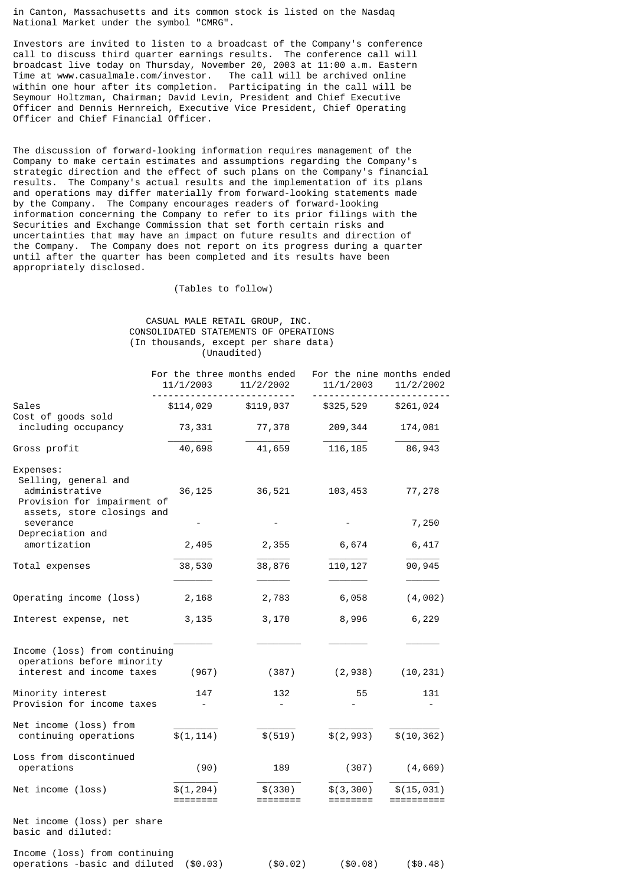in Canton, Massachusetts and its common stock is listed on the Nasdaq National Market under the symbol "CMRG".

Investors are invited to listen to a broadcast of the Company's conference call to discuss third quarter earnings results. The conference call will broadcast live today on Thursday, November 20, 2003 at 11:00 a.m. Eastern Time at www.casualmale.com/investor. The call will be archived online within one hour after its completion. Participating in the call will be Seymour Holtzman, Chairman; David Levin, President and Chief Executive Officer and Dennis Hernreich, Executive Vice President, Chief Operating Officer and Chief Financial Officer.

The discussion of forward-looking information requires management of the Company to make certain estimates and assumptions regarding the Company's strategic direction and the effect of such plans on the Company's financial results. The Company's actual results and the implementation of its plans and operations may differ materially from forward-looking statements made by the Company. The Company encourages readers of forward-looking information concerning the Company to refer to its prior filings with the Securities and Exchange Commission that set forth certain risks and uncertainties that may have an impact on future results and direction of the Company. The Company does not report on its progress during a quarter until after the quarter has been completed and its results have been appropriately disclosed.

(Tables to follow)

## CASUAL MALE RETAIL GROUP, INC. CONSOLIDATED STATEMENTS OF OPERATIONS (In thousands, except per share data) (Unaudited)

|                                                                                                                  | For the three months ended<br>11/1/2003 | 11/2/2002                       | For the nine months ended<br>11/1/2003 | 11/2/2002                 |
|------------------------------------------------------------------------------------------------------------------|-----------------------------------------|---------------------------------|----------------------------------------|---------------------------|
| Sales                                                                                                            | -------------------------<br>\$114,029  | \$119,037                       | \$325,529                              | \$261,024                 |
| Cost of goods sold<br>including occupancy                                                                        | 73,331                                  | 77,378                          | 209,344                                | 174,081                   |
| Gross profit                                                                                                     | 40,698                                  | 41,659                          | 116, 185                               | 86,943                    |
| Expenses:<br>Selling, general and<br>administrative<br>Provision for impairment of<br>assets, store closings and | 36,125                                  | 36,521                          | 103,453                                | 77,278                    |
| severance                                                                                                        |                                         |                                 |                                        | 7,250                     |
| Depreciation and<br>amortization                                                                                 | 2,405                                   | 2,355                           | 6,674                                  | 6,417                     |
| Total expenses                                                                                                   | 38,530                                  | 38,876                          | 110, 127                               | 90,945                    |
| Operating income (loss)                                                                                          | 2,168                                   | 2,783                           | 6,058                                  | (4,002)                   |
| Interest expense, net                                                                                            | 3,135                                   | 3,170                           | 8,996                                  | 6,229                     |
| Income (loss) from continuing<br>operations before minority<br>interest and income taxes                         | (967)                                   | (387)                           | (2,938)                                | (10, 231)                 |
| Minority interest<br>Provision for income taxes                                                                  | 147                                     | 132<br>$\overline{\phantom{a}}$ | 55                                     | 131                       |
| Net income (loss) from<br>continuing operations                                                                  | \$(1, 114)                              | \$(519)                         | \$(2,993)                              | \$(10, 362)               |
| Loss from discontinued<br>operations                                                                             | (90)                                    | 189                             | (307)                                  | (4, 669)                  |
| Net income (loss)                                                                                                | \$(1, 204)<br>========                  | \$(330)<br>========             | \$(3,300)<br>========                  | \$(15, 031)<br>========== |
| Net income (loss) per share<br>basic and diluted:                                                                |                                         |                                 |                                        |                           |
| Income (loss) from continuing<br>operations -basic and diluted                                                   | $($ \$0.03)                             | $(\$0.02)$                      | $($ \$0.08)                            | ( \$0.48)                 |